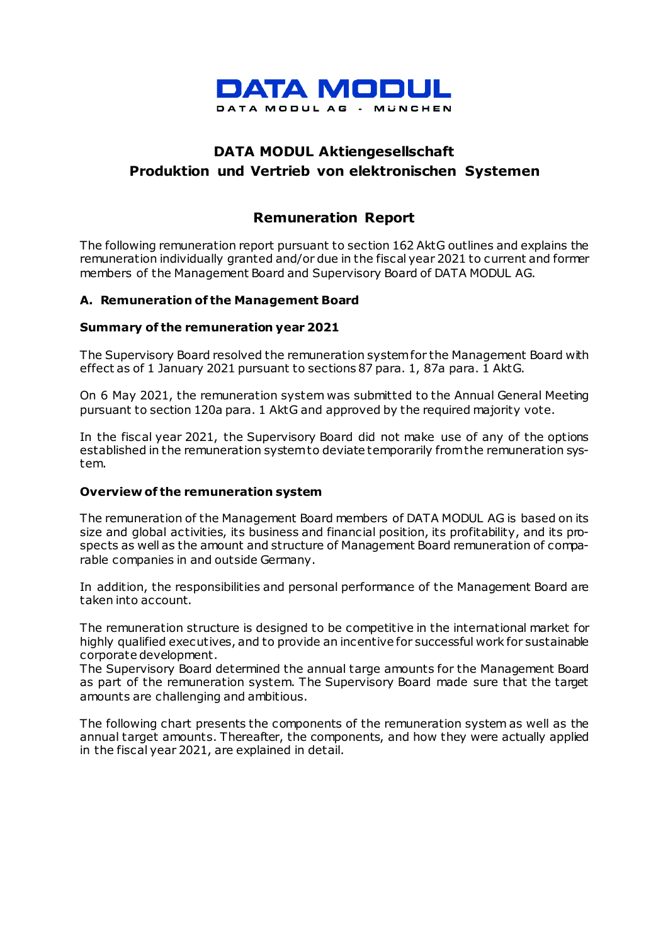

# **DATA MODUL Aktiengesellschaft Produktion und Vertrieb von elektronischen Systemen**

## **Remuneration Report**

The following remuneration report pursuant to section 162 AktG outlines and explains the remuneration individually granted and/or due in the fiscal year 2021 to current and former members of the Management Board and Supervisory Board of DATA MODUL AG.

#### **A. Remuneration of the Management Board**

#### **Summary of the remuneration year 2021**

The Supervisory Board resolved the remuneration system for the Management Board with effect as of 1 January 2021 pursuant to sections 87 para. 1, 87a para. 1 AktG.

On 6 May 2021, the remuneration system was submitted to the Annual General Meeting pursuant to section 120a para. 1 AktG and approved by the required majority vote.

In the fiscal year 2021, the Supervisory Board did not make use of any of the options established in the remuneration system to deviate temporarily from the remuneration system.

#### **Overview of the remuneration system**

The remuneration of the Management Board members of DATA MODUL AG is based on its size and global activities, its business and financial position, its profitability, and its prospects as well as the amount and structure of Management Board remuneration of comparable companies in and outside Germany.

In addition, the responsibilities and personal performance of the Management Board are taken into account.

The remuneration structure is designed to be competitive in the international market for highly qualified executives, and to provide an incentive for successful work for sustainable corporate development.

The Supervisory Board determined the annual targe amounts for the Management Board as part of the remuneration system. The Supervisory Board made sure that the target amounts are challenging and ambitious.

The following chart presents the components of the remuneration system as well as the annual target amounts. Thereafter, the components, and how they were actually applied in the fiscal year 2021, are explained in detail.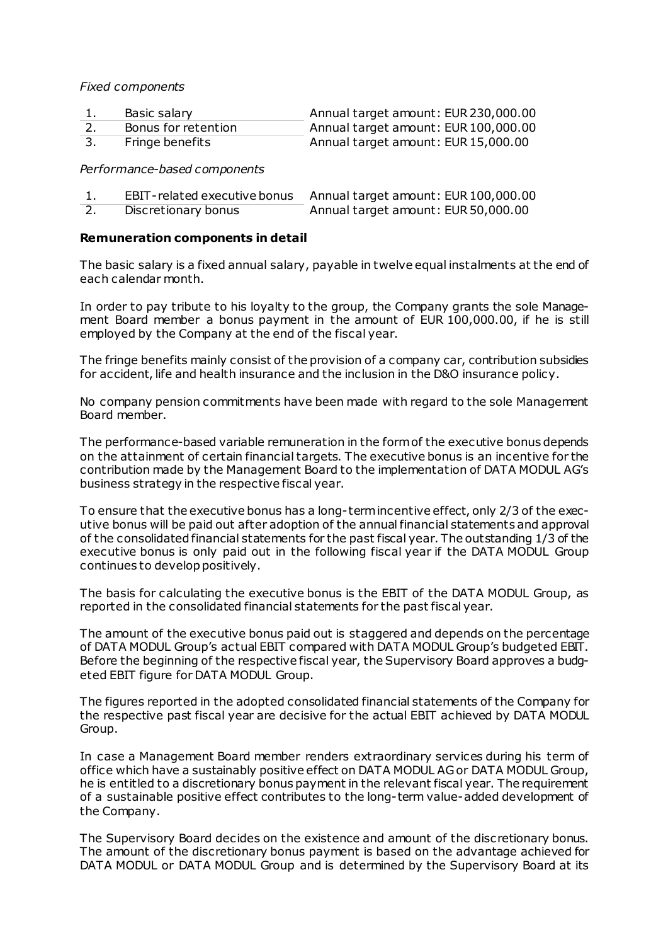*Fixed components*

| Basic salary        | Annual target amount: EUR 230,000.00 |
|---------------------|--------------------------------------|
| Bonus for retention | Annual target amount: EUR 100,000.00 |
| Fringe benefits     | Annual target amount: EUR 15,000.00  |

*Performance-based components*

| EBIT-related executive bonus | Annual target amount: EUR 100,000.00 |
|------------------------------|--------------------------------------|
| Discretionary bonus          | Annual target amount: EUR 50,000.00  |

#### **Remuneration components in detail**

The basic salary is a fixed annual salary, payable in twelve equal instalments at the end of each calendar month.

In order to pay tribute to his loyalty to the group, the Company grants the sole Management Board member a bonus payment in the amount of EUR 100,000.00, if he is still employed by the Company at the end of the fiscal year.

The fringe benefits mainly consist of the provision of a company car, contribution subsidies for accident, life and health insurance and the inclusion in the D&O insurance policy.

No company pension commitments have been made with regard to the sole Management Board member.

The performance-based variable remuneration in the form of the executive bonus depends on the attainment of certain financial targets. The executive bonus is an incentive for the contribution made by the Management Board to the implementation of DATA MODUL AG's business strategy in the respective fiscal year.

To ensure that the executive bonus has a long-term incentive effect, only 2/3 of the executive bonus will be paid out after adoption of the annual financial statements and approval of the consolidated financial statements for the past fiscal year. The outstanding 1/3 of the executive bonus is only paid out in the following fiscal year if the DATA MODUL Group continues to develop positively.

The basis for calculating the executive bonus is the EBIT of the DATA MODUL Group, as reported in the consolidated financial statements for the past fiscal year.

The amount of the executive bonus paid out is staggered and depends on the percentage of DATA MODUL Group's actual EBIT compared with DATA MODUL Group's budgeted EBIT. Before the beginning of the respective fiscal year, the Supervisory Board approves a budgeted EBIT figure for DATA MODUL Group.

The figures reported in the adopted consolidated financial statements of the Company for the respective past fiscal year are decisive for the actual EBIT achieved by DATA MODUL Group.

In case a Management Board member renders extraordinary services during his term of office which have a sustainably positive effect on DATA MODUL AG or DATA MODUL Group, he is entitled to a discretionary bonus payment in the relevant fiscal year. The requirement of a sustainable positive effect contributes to the long-term value-added development of the Company.

The Supervisory Board decides on the existence and amount of the discretionary bonus. The amount of the discretionary bonus payment is based on the advantage achieved for DATA MODUL or DATA MODUL Group and is determined by the Supervisory Board at its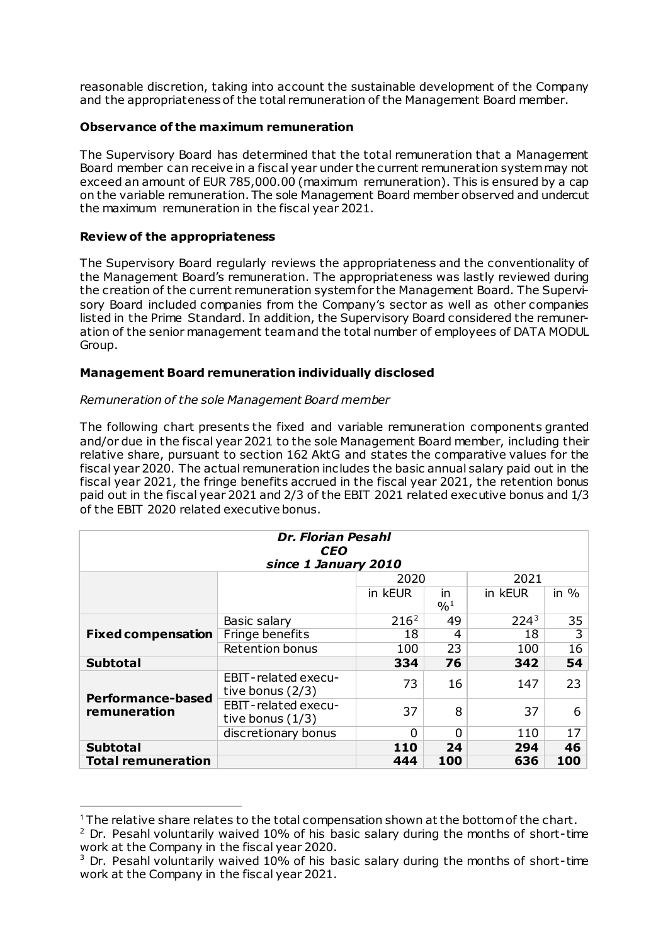reasonable discretion, taking into account the sustainable development of the Company and the appropriateness of the total remuneration of the Management Board member.

## **Observance of the maximum remuneration**

The Supervisory Board has determined that the total remuneration that a Management Board member can receive in a fiscal year under the current remuneration system may not exceed an amount of EUR 785,000.00 (maximum remuneration). This is ensured by a cap on the variable remuneration. The sole Management Board member observed and undercut the maximum remuneration in the fiscal year 2021.

### **Review of the appropriateness**

<u>.</u>

The Supervisory Board regularly reviews the appropriateness and the conventionality of the Management Board's remuneration. The appropriateness was lastly reviewed during the creation of the current remuneration system for the Management Board. The Supervisory Board included companies from the Company's sector as well as other companies listed in the Prime Standard. In addition, the Supervisory Board considered the remuneration of the senior management team and the total number of employees of DATA MODUL Group.

#### **Management Board remuneration individually disclosed**

#### *Remuneration of the sole Management Board member*

The following chart presents the fixed and variable remuneration components granted and/or due in the fiscal year 2021 to the sole Management Board member, including their relative share, pursuant to section 162 AktG and states the comparative values for the fiscal year 2020. The actual remuneration includes the basic annual salary paid out in the fiscal year 2021, the fringe benefits accrued in the fiscal year 2021, the retention bonus paid out in the fiscal year 2021 and 2/3 of the EBIT 2021 related executive bonus and 1/3 of the EBIT 2020 related executive bonus.

| <b>Dr. Florian Pesahl</b><br><b>CEO</b> |                                           |                  |                        |         |        |  |
|-----------------------------------------|-------------------------------------------|------------------|------------------------|---------|--------|--|
| since 1 January 2010                    |                                           |                  |                        |         |        |  |
|                                         |                                           | 2020             |                        | 2021    |        |  |
|                                         |                                           | in kEUR          | in.<br>$^{0}/_{0}^{1}$ | in kEUR | in $%$ |  |
|                                         |                                           |                  |                        |         |        |  |
|                                         | Basic salary                              | 216 <sup>2</sup> | 49                     | $224^3$ | 35     |  |
| <b>Fixed compensation</b>               | Fringe benefits                           | 18               | 4                      | 18      | 3      |  |
|                                         | <b>Retention bonus</b>                    | 100              | 23                     | 100     | 16     |  |
| <b>Subtotal</b>                         |                                           | 334              | 76                     | 342     | 54     |  |
| <b>Performance-based</b>                | EBIT-related execu-<br>tive bonus $(2/3)$ | 73               | 16                     | 147     | 23     |  |
| remuneration                            | EBIT-related execu-<br>tive bonus $(1/3)$ | 37               | 8                      | 37      | 6      |  |
|                                         | discretionary bonus                       | 0                | 0                      | 110     | 17     |  |
| <b>Subtotal</b>                         |                                           | <b>110</b>       | 24                     | 294     | 46     |  |
| <b>Total remuneration</b>               |                                           | 444              | 100                    | 636     | 100    |  |

<span id="page-2-0"></span><sup>&</sup>lt;sup>1</sup> The relative share relates to the total compensation shown at the bottom of the chart.

<span id="page-2-1"></span> $2$  Dr. Pesahl voluntarily waived 10% of his basic salary during the months of short-time work at the Company in the fiscal year 2020.

<span id="page-2-2"></span> $3$  Dr. Pesahl voluntarily waived 10% of his basic salary during the months of short-time work at the Company in the fiscal year 2021.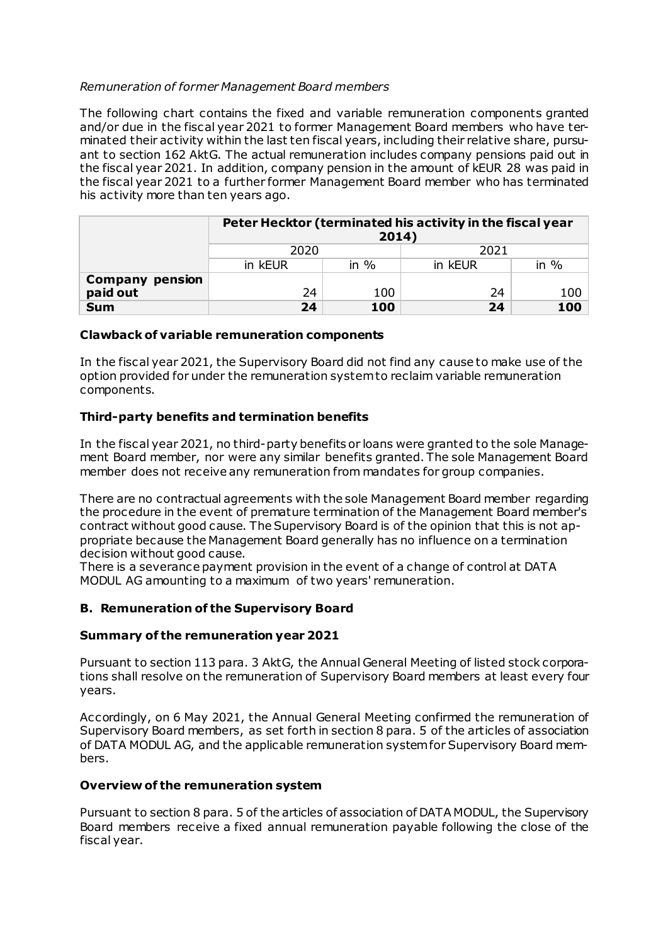## *Remuneration of former Management Board members*

The following chart contains the fixed and variable remuneration components granted and/or due in the fiscal year 2021 to former Management Board members who have terminated their activity within the last ten fiscal years, including their relative share, pursuant to section 162 AktG. The actual remuneration includes company pensions paid out in the fiscal year 2021. In addition, company pension in the amount of kEUR 28 was paid in the fiscal year 2021 to a further former Management Board member who has terminated his activity more than ten years ago.

|                        | Peter Hecktor (terminated his activity in the fiscal year<br>2014) |         |         |        |  |
|------------------------|--------------------------------------------------------------------|---------|---------|--------|--|
|                        | 2020                                                               |         | 2021    |        |  |
|                        | in kEUR                                                            | in $\%$ | in kEUR | in $%$ |  |
| <b>Company pension</b> |                                                                    |         |         |        |  |
| paid out               | 24                                                                 | 100     | 24      | 100    |  |
| <b>Sum</b>             | 24                                                                 | 100     | 24      | 100    |  |

#### **Clawback of variable remuneration components**

In the fiscal year 2021, the Supervisory Board did not find any cause to make use of the option provided for under the remuneration system to reclaim variable remuneration components.

## **Third-party benefits and termination benefits**

In the fiscal year 2021, no third-party benefits or loans were granted to the sole Management Board member, nor were any similar benefits granted. The sole Management Board member does not receive any remuneration from mandates for group companies.

There are no contractual agreements with the sole Management Board member regarding the procedure in the event of premature termination of the Management Board member's contract without good cause. The Supervisory Board is of the opinion that this is not appropriate because the Management Board generally has no influence on a termination decision without good cause.

There is a severance payment provision in the event of a change of control at DATA MODUL AG amounting to a maximum of two years' remuneration.

#### **B. Remuneration of the Supervisory Board**

#### **Summary of the remuneration year 2021**

Pursuant to section 113 para. 3 AktG, the Annual General Meeting of listed stock corporations shall resolve on the remuneration of Supervisory Board members at least every four years.

Accordingly, on 6 May 2021, the Annual General Meeting confirmed the remuneration of Supervisory Board members, as set forth in section 8 para. 5 of the articles of association of DATA MODUL AG, and the applicable remuneration system for Supervisory Board members.

#### **Overview of the remuneration system**

Pursuant to section 8 para. 5 of the articles of association of DATA MODUL, the Supervisory Board members receive a fixed annual remuneration payable following the close of the fiscal year.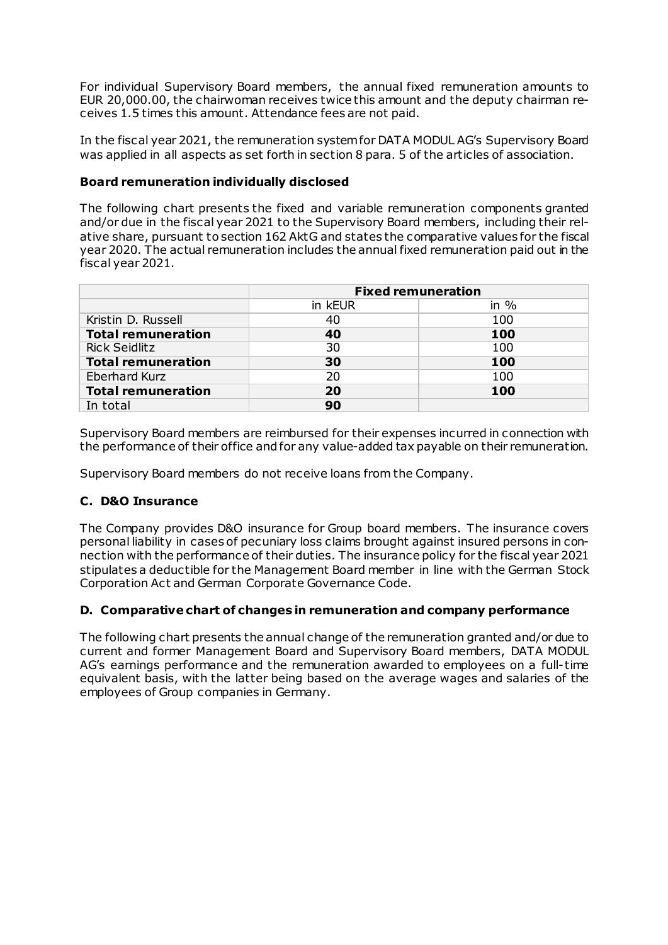For individual Supervisory Board members, the annual fixed remuneration amounts to EUR 20,000.00, the chairwoman receives twice this amount and the deputy chairman receives 1.5 times this amount. Attendance fees are not paid.

In the fiscal year 2021, the remuneration system for DATA MODUL AG's Supervisory Board was applied in all aspects as set forth in section 8 para. 5 of the articles of association.

#### **Board remuneration individually disclosed**

The following chart presents the fixed and variable remuneration components granted and/or due in the fiscal year 2021 to the Supervisory Board members, including their relative share, pursuant to section 162 AktG and states the comparative values for the fiscal year 2020. The actual remuneration includes the annual fixed remuneration paid out in the fiscal year 2021.

|                           | <b>Fixed remuneration</b> |         |  |  |
|---------------------------|---------------------------|---------|--|--|
|                           | in kEUR                   | in $\%$ |  |  |
| Kristin D. Russell        | 40                        | 100     |  |  |
| <b>Total remuneration</b> | 40                        | 100     |  |  |
| <b>Rick Seidlitz</b>      | 30                        | 100     |  |  |
| <b>Total remuneration</b> | 30                        | 100     |  |  |
| <b>Eberhard Kurz</b>      | 20                        | 100     |  |  |
| <b>Total remuneration</b> | 20                        | 100     |  |  |
| In total                  | 90                        |         |  |  |

Supervisory Board members are reimbursed for their expenses incurred in connection with the performance of their office and for any value-added tax payable on their remuneration.

Supervisory Board members do not receive loans from the Company.

#### **C. D&O Insurance**

The Company provides D&O insurance for Group board members. The insurance covers personal liability in cases of pecuniary loss claims brought against insured persons in connection with the performance of their duties. The insurance policy for the fiscal year 2021 stipulates a deductible for the Management Board member in line with the German Stock Corporation Act and German Corporate Governance Code.

#### **D. Comparative chart of changes in remuneration and company performance**

The following chart presents the annual change of the remuneration granted and/or due to current and former Management Board and Supervisory Board members, DATA MODUL AG's earnings performance and the remuneration awarded to employees on a full-time equivalent basis, with the latter being based on the average wages and salaries of the employees of Group companies in Germany.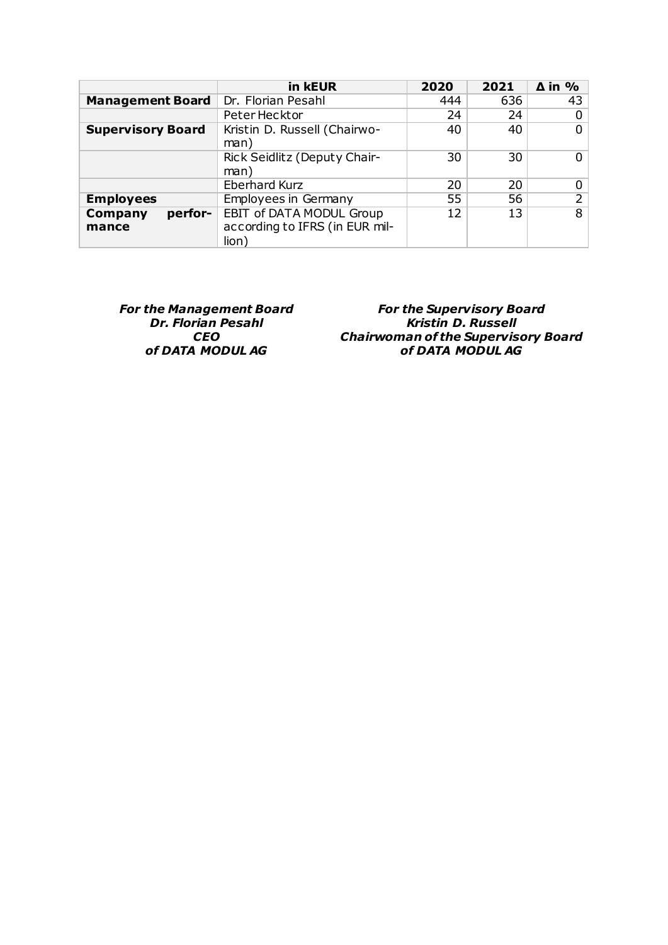|                             | in kEUR                                                                    | 2020 | 2021 | $\Delta$ in % |
|-----------------------------|----------------------------------------------------------------------------|------|------|---------------|
| <b>Management Board</b>     | Dr. Florian Pesahl                                                         | 444  | 636  | 43            |
|                             | Peter Hecktor                                                              | 24   | 24   |               |
| <b>Supervisory Board</b>    | Kristin D. Russell (Chairwo-<br>man)                                       | 40   | 40   | 0             |
|                             | Rick Seidlitz (Deputy Chair-<br>man)                                       | 30   | 30   |               |
|                             | <b>Eberhard Kurz</b>                                                       | 20   | 20   | 0             |
| <b>Employees</b>            | <b>Employees in Germany</b>                                                | 55   | 56   | 2             |
| perfor-<br>Company<br>mance | <b>EBIT of DATA MODUL Group</b><br>according to IFRS (in EUR mil-<br>lion) | 12   | 13   | 8             |

*For the Management Board Dr. Florian Pesahl CEO of DATA MODUL AG*

*For the Supervisory Board Kristin D. Russell Chairwoman of the Supervisory Board of DATA MODUL AG*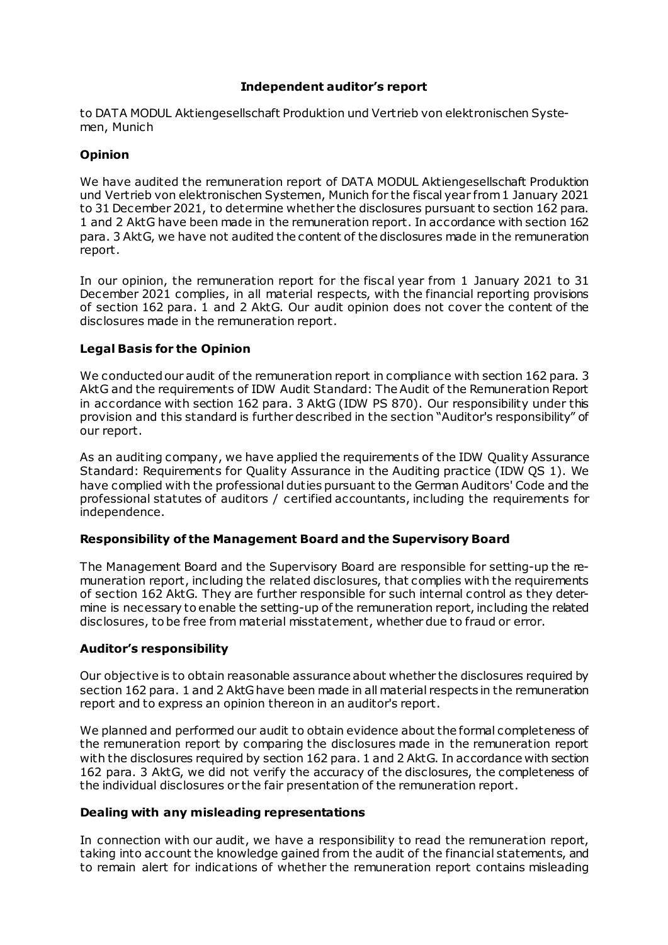#### **Independent auditor's report**

to DATA MODUL Aktiengesellschaft Produktion und Vertrieb von elektronischen Systemen, Munich

## **Opinion**

We have audited the remuneration report of DATA MODUL Aktiengesellschaft Produktion und Vertrieb von elektronischen Systemen, Munich for the fiscal year from 1 January 2021 to 31 December 2021, to determine whether the disclosures pursuant to section 162 para. 1 and 2 AktG have been made in the remuneration report. In accordance with section 162 para. 3 AktG, we have not audited the content of the disclosures made in the remuneration report.

In our opinion, the remuneration report for the fiscal year from 1 January 2021 to 31 December 2021 complies, in all material respects, with the financial reporting provisions of section 162 para. 1 and 2 AktG. Our audit opinion does not cover the content of the disclosures made in the remuneration report.

#### **Legal Basis for the Opinion**

We conducted our audit of the remuneration report in compliance with section 162 para. 3 AktG and the requirements of IDW Audit Standard: The Audit of the Remuneration Report in accordance with section 162 para. 3 AktG (IDW PS 870). Our responsibility under this provision and this standard is further described in the section "Auditor's responsibility" of our report.

As an auditing company, we have applied the requirements of the IDW Quality Assurance Standard: Requirements for Quality Assurance in the Auditing practice (IDW QS 1). We have complied with the professional duties pursuant to the German Auditors' Code and the professional statutes of auditors / certified accountants, including the requirements for independence.

#### **Responsibility of the Management Board and the Supervisory Board**

The Management Board and the Supervisory Board are responsible for setting-up the remuneration report, including the related disclosures, that complies with the requirements of section 162 AktG. They are further responsible for such internal control as they determine is necessary to enable the setting-up of the remuneration report, including the related disclosures, to be free from material misstatement, whether due to fraud or error.

#### **Auditor's responsibility**

Our objective is to obtain reasonable assurance about whether the disclosures required by section 162 para. 1 and 2 AktGhave been made in all material respects in the remuneration report and to express an opinion thereon in an auditor's report.

We planned and performed our audit to obtain evidence about the formal completeness of the remuneration report by comparing the disclosures made in the remuneration report with the disclosures required by section 162 para. 1 and 2 AktG. In accordance with section 162 para. 3 AktG, we did not verify the accuracy of the disclosures, the completeness of the individual disclosures or the fair presentation of the remuneration report.

#### **Dealing with any misleading representations**

In connection with our audit, we have a responsibility to read the remuneration report, taking into account the knowledge gained from the audit of the financial statements, and to remain alert for indications of whether the remuneration report contains misleading